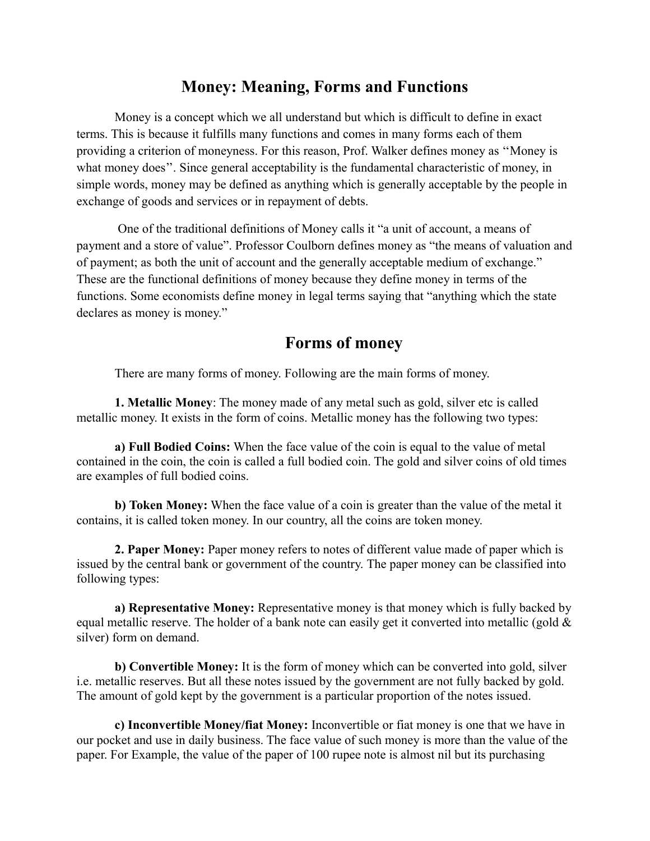## **Money: Meaning, Forms and Functions**

Money is a concept which we all understand but which is difficult to define in exact terms. This is because it fulfills many functions and comes in many forms each of them providing a criterion of moneyness. For this reason, Prof. Walker defines money as ''Money is what money does''. Since general acceptability is the fundamental characteristic of money, in simple words, money may be defined as anything which is generally acceptable by the people in exchange of goods and services or in repayment of debts.

One of the traditional definitions of Money calls it "a unit of account, a means of payment and a store of value". Professor Coulborn defines money as "the means of valuation and of payment; as both the unit of account and the generally acceptable medium of exchange." These are the functional definitions of money because they define money in terms of the functions. Some economists define money in legal terms saying that "anything which the state declares as money is money."

## **Forms of money**

There are many forms of money. Following are the main forms of money.

**1. Metallic Money**: The money made of any metal such as gold, silver etc is called metallic money. It exists in the form of coins. Metallic money has the following two types:

**a) Full Bodied Coins:** When the face value of the coin is equal to the value of metal contained in the coin, the coin is called a full bodied coin. The gold and silver coins of old times are examples of full bodied coins.

**b) Token Money:** When the face value of a coin is greater than the value of the metal it contains, it is called token money. In our country, all the coins are token money.

**2. Paper Money:** Paper money refers to notes of different value made of paper which is issued by the central bank or government of the country. The paper money can be classified into following types:

**a) Representative Money:** Representative money is that money which is fully backed by equal metallic reserve. The holder of a bank note can easily get it converted into metallic (gold  $\&$ silver) form on demand.

**b) Convertible Money:** It is the form of money which can be converted into gold, silver i.e. metallic reserves. But all these notes issued by the government are not fully backed by gold. The amount of gold kept by the government is a particular proportion of the notes issued.

**c) Inconvertible Money/fiat Money:** Inconvertible or fiat money is one that we have in our pocket and use in daily business. The face value of such money is more than the value of the paper. For Example, the value of the paper of 100 rupee note is almost nil but its purchasing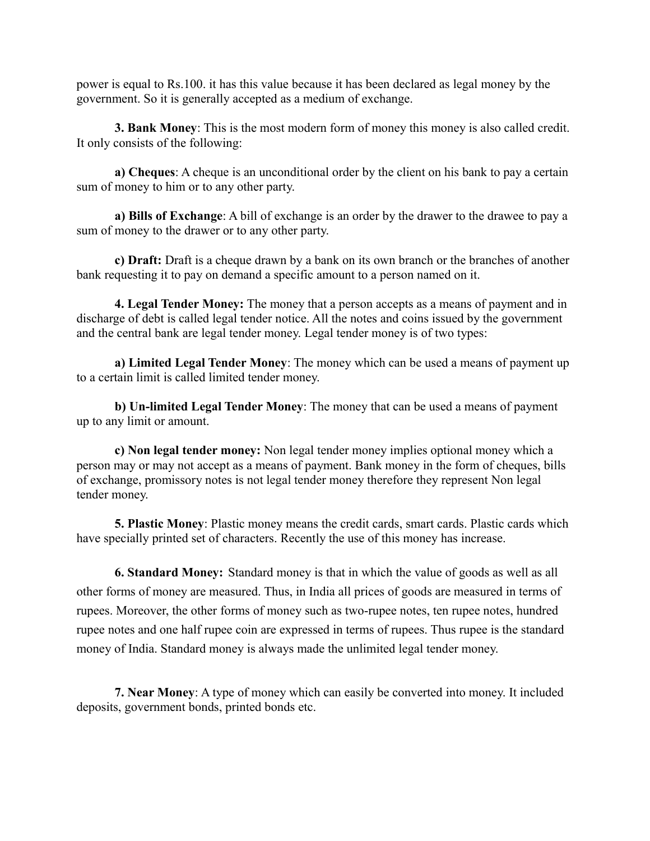power is equal to Rs.100. it has this value because it has been declared as legal money by the government. So it is generally accepted as a medium of exchange.

**3. Bank Money**: This is the most modern form of money this money is also called credit. It only consists of the following:

**a) Cheques**: A cheque is an unconditional order by the client on his bank to pay a certain sum of money to him or to any other party.

**a) Bills of Exchange**: A bill of exchange is an order by the drawer to the drawee to pay a sum of money to the drawer or to any other party.

**c) Draft:** Draft is a cheque drawn by a bank on its own branch or the branches of another bank requesting it to pay on demand a specific amount to a person named on it.

**4. Legal Tender Money:** The money that a person accepts as a means of payment and in discharge of debt is called legal tender notice. All the notes and coins issued by the government and the central bank are legal tender money. Legal tender money is of two types:

**a) Limited Legal Tender Money**: The money which can be used a means of payment up to a certain limit is called limited tender money.

**b) Un-limited Legal Tender Money**: The money that can be used a means of payment up to any limit or amount.

**c) Non legal tender money:** Non legal tender money implies optional money which a person may or may not accept as a means of payment. Bank money in the form of cheques, bills of exchange, promissory notes is not legal tender money therefore they represent Non legal tender money.

**5. Plastic Money**: Plastic money means the credit cards, smart cards. Plastic cards which have specially printed set of characters. Recently the use of this money has increase.

**6. Standard Money:** Standard money is that in which the value of goods as well as all other forms of money are measured. Thus, in India all prices of goods are measured in terms of rupees. Moreover, the other forms of money such as two-rupee notes, ten rupee notes, hundred rupee notes and one half rupee coin are expressed in terms of rupees. Thus rupee is the standard money of India. Standard money is always made the unlimited legal tender money.

**7. Near Money**: A type of money which can easily be converted into money. It included deposits, government bonds, printed bonds etc.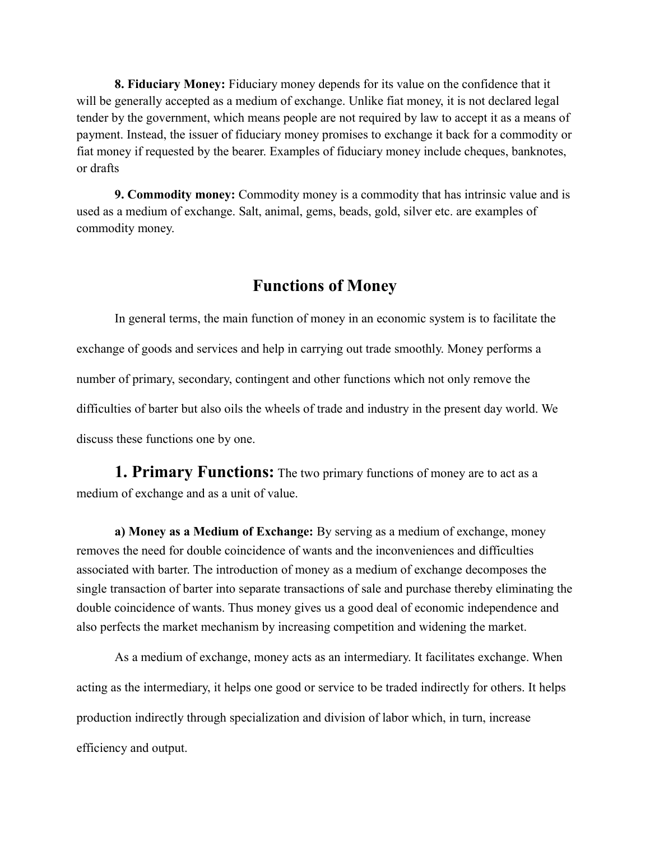**8. Fiduciary Money:** Fiduciary money depends for its value on the confidence that it will be generally accepted as a medium of exchange. Unlike fiat money, it is not declared legal tender by the government, which means people are not required by law to accept it as a means of payment. Instead, the issuer of fiduciary money promises to exchange it back for a commodity or fiat money if requested by the bearer. Examples of fiduciary money include cheques, banknotes, or drafts

**9. Commodity money:** Commodity money is a commodity that has intrinsic value and is used as a medium of exchange. Salt, animal, gems, beads, gold, silver etc. are examples of commodity money.

## **Functions of Money**

In general terms, the main function of money in an economic system is to facilitate the exchange of goods and services and help in carrying out trade smoothly. Money performs a number of primary, secondary, contingent and other functions which not only remove the difficulties of barter but also oils the wheels of trade and industry in the present day world. We discuss these functions one by one.

**1. Primary Functions:** The two primary functions of money are to act as a medium of exchange and as a unit of value.

**a) Money as a Medium of Exchange:** By serving as a medium of exchange, money removes the need for double coincidence of wants and the inconveniences and difficulties associated with barter. The introduction of money as a medium of exchange decomposes the single transaction of barter into separate transactions of sale and purchase thereby eliminating the double coincidence of wants. Thus money gives us a good deal of economic independence and also perfects the market mechanism by increasing competition and widening the market.

As a medium of exchange, money acts as an intermediary. It facilitates exchange. When acting as the intermediary, it helps one good or service to be traded indirectly for others. It helps production indirectly through specialization and division of labor which, in turn, increase efficiency and output.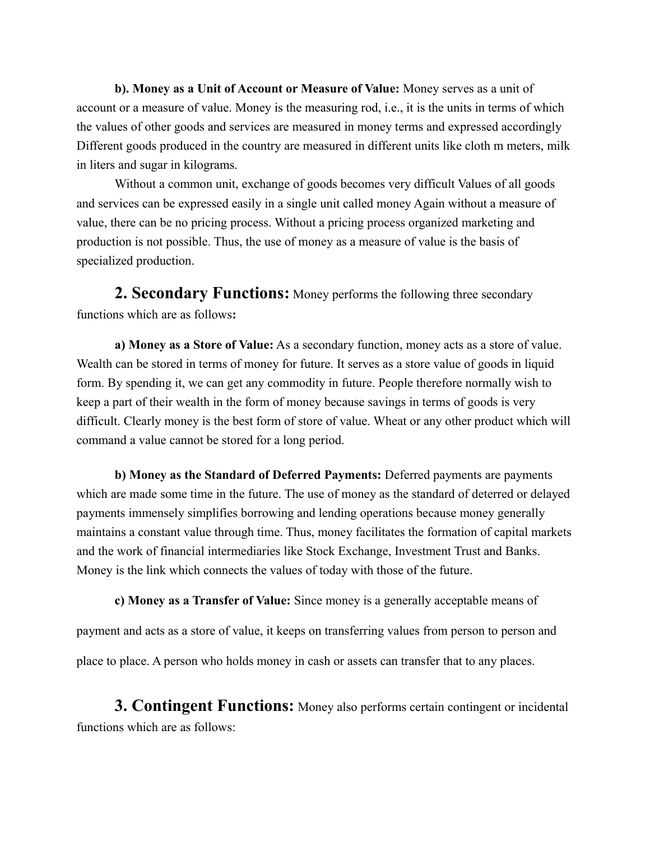**b). Money as a Unit of Account or Measure of Value:** Money serves as a unit of account or a measure of value. Money is the measuring rod, i.e., it is the units in terms of which the values of other goods and services are measured in money terms and expressed accordingly Different goods produced in the country are measured in different units like cloth m meters, milk in liters and sugar in kilograms.

Without a common unit, exchange of goods becomes very difficult Values of all goods and services can be expressed easily in a single unit called money Again without a measure of value, there can be no pricing process. Without a pricing process organized marketing and production is not possible. Thus, the use of money as a measure of value is the basis of specialized production.

**2. Secondary Functions:** Money performs the following three secondary functions which are as follows**:** 

**a) Money as a Store of Value:** As a secondary function, money acts as a store of value. Wealth can be stored in terms of money for future. It serves as a store value of goods in liquid form. By spending it, we can get any commodity in future. People therefore normally wish to keep a part of their wealth in the form of money because savings in terms of goods is very difficult. Clearly money is the best form of store of value. Wheat or any other product which will command a value cannot be stored for a long period.

**b) Money as the Standard of Deferred Payments:** Deferred payments are payments which are made some time in the future. The use of money as the standard of deterred or delayed payments immensely simplifies borrowing and lending operations because money generally maintains a constant value through time. Thus, money facilitates the formation of capital markets and the work of financial intermediaries like Stock Exchange, Investment Trust and Banks. Money is the link which connects the values of today with those of the future.

**c) Money as a Transfer of Value:** Since money is a generally acceptable means of payment and acts as a store of value, it keeps on transferring values from person to person and place to place. A person who holds money in cash or assets can transfer that to any places.

**3. Contingent Functions:** Money also performs certain contingent or incidental functions which are as follows: